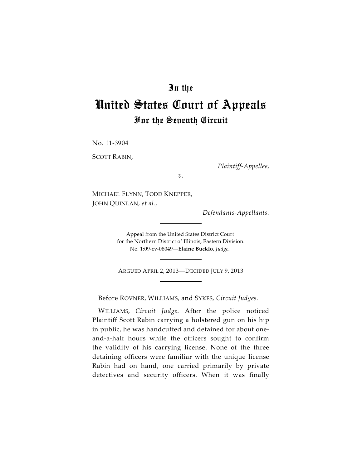## In the

# United States Court of Appeals For the Seventh Circuit

No. 11-3904

SCOTT RABIN,

*Plaintiff-Appellee*,

*v.*

MICHAEL FLYNN, TODD KNEPPER, JOHN QUINLAN, *et al.*,

*Defendants-Appellants.*

Appeal from the United States District Court for the Northern District of Illinois, Eastern Division. No. 1:09-cv-08049—**Elaine Bucklo**, *Judge.*

ARGUED APRIL 2, 2013—DECIDED JULY 9, 2013

Before ROVNER, WILLIAMS, and SYKES, *Circuit Judges.*

WILLIAMS, *Circuit Judge*. After the police noticed Plaintiff Scott Rabin carrying a holstered gun on his hip in public, he was handcuffed and detained for about oneand-a-half hours while the officers sought to confirm the validity of his carrying license. None of the three detaining officers were familiar with the unique license Rabin had on hand, one carried primarily by private detectives and security officers. When it was finally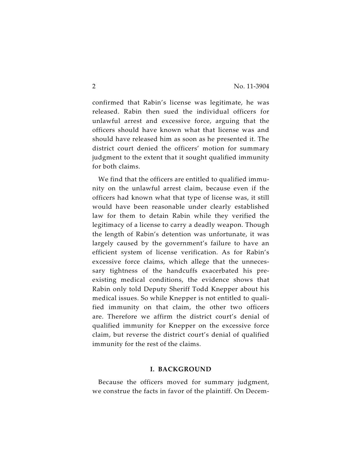confirmed that Rabin's license was legitimate, he was released. Rabin then sued the individual officers for unlawful arrest and excessive force, arguing that the officers should have known what that license was and should have released him as soon as he presented it. The district court denied the officers' motion for summary judgment to the extent that it sought qualified immunity for both claims.

We find that the officers are entitled to qualified immunity on the unlawful arrest claim, because even if the officers had known what that type of license was, it still would have been reasonable under clearly established law for them to detain Rabin while they verified the legitimacy of a license to carry a deadly weapon. Though the length of Rabin's detention was unfortunate, it was largely caused by the government's failure to have an efficient system of license verification. As for Rabin's excessive force claims, which allege that the unnecessary tightness of the handcuffs exacerbated his preexisting medical conditions, the evidence shows that Rabin only told Deputy Sheriff Todd Knepper about his medical issues. So while Knepper is not entitled to qualified immunity on that claim, the other two officers are. Therefore we affirm the district court's denial of qualified immunity for Knepper on the excessive force claim, but reverse the district court's denial of qualified immunity for the rest of the claims.

### **I. BACKGROUND**

Because the officers moved for summary judgment, we construe the facts in favor of the plaintiff. On Decem-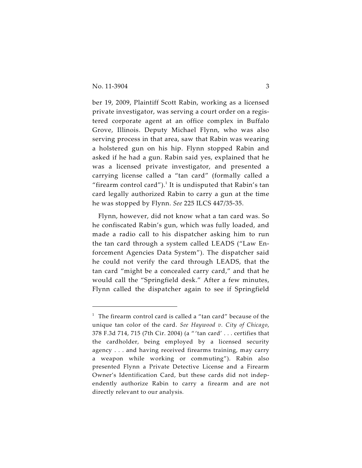ber 19, 2009, Plaintiff Scott Rabin, working as a licensed private investigator, was serving a court order on a registered corporate agent at an office complex in Buffalo Grove, Illinois. Deputy Michael Flynn, who was also serving process in that area, saw that Rabin was wearing a holstered gun on his hip. Flynn stopped Rabin and asked if he had a gun. Rabin said yes, explained that he was a licensed private investigator, and presented a carrying license called a "tan card" (formally called a "firearm control card"). $^1$  It is undisputed that Rabin's tan card legally authorized Rabin to carry a gun at the time he was stopped by Flynn. *See* 225 ILCS 447/35-35.

Flynn, however, did not know what a tan card was. So he confiscated Rabin's gun, which was fully loaded, and made a radio call to his dispatcher asking him to run the tan card through a system called LEADS ("Law Enforcement Agencies Data System"). The dispatcher said he could not verify the card through LEADS, that the tan card "might be a concealed carry card," and that he would call the "Springfield desk." After a few minutes, Flynn called the dispatcher again to see if Springfield

 $1$  The firearm control card is called a "tan card" because of the unique tan color of the card. *See Haywood v. City of Chicago*, 378 F.3d 714, 715 (7th Cir. 2004) (a " 'tan card' . . . certifies that the cardholder, being employed by a licensed security agency . . . and having received firearms training, may carry a weapon while working or commuting"). Rabin also presented Flynn a Private Detective License and a Firearm Owner's Identification Card, but these cards did not independently authorize Rabin to carry a firearm and are not directly relevant to our analysis.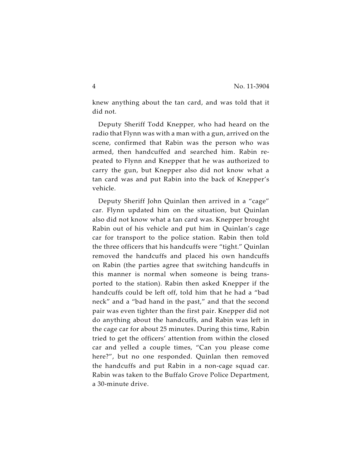knew anything about the tan card, and was told that it did not.

Deputy Sheriff Todd Knepper, who had heard on the radio that Flynn was with a man with a gun, arrived on the scene, confirmed that Rabin was the person who was armed, then handcuffed and searched him. Rabin repeated to Flynn and Knepper that he was authorized to carry the gun, but Knepper also did not know what a tan card was and put Rabin into the back of Knepper's vehicle.

Deputy Sheriff John Quinlan then arrived in a "cage" car. Flynn updated him on the situation, but Quinlan also did not know what a tan card was. Knepper brought Rabin out of his vehicle and put him in Quinlan's cage car for transport to the police station. Rabin then told the three officers that his handcuffs were "tight." Quinlan removed the handcuffs and placed his own handcuffs on Rabin (the parties agree that switching handcuffs in this manner is normal when someone is being transported to the station). Rabin then asked Knepper if the handcuffs could be left off, told him that he had a "bad neck" and a "bad hand in the past," and that the second pair was even tighter than the first pair. Knepper did not do anything about the handcuffs, and Rabin was left in the cage car for about 25 minutes. During this time, Rabin tried to get the officers' attention from within the closed car and yelled a couple times, "Can you please come here?", but no one responded. Quinlan then removed the handcuffs and put Rabin in a non-cage squad car. Rabin was taken to the Buffalo Grove Police Department, a 30-minute drive.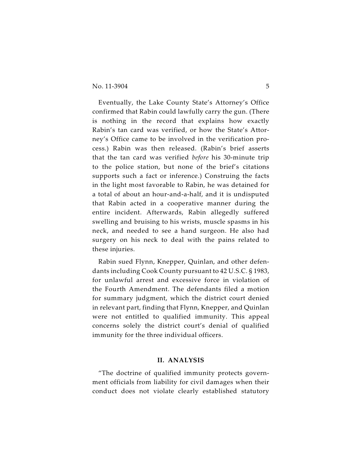Eventually, the Lake County State's Attorney's Office confirmed that Rabin could lawfully carry the gun. (There is nothing in the record that explains how exactly Rabin's tan card was verified, or how the State's Attorney's Office came to be involved in the verification process.) Rabin was then released. (Rabin's brief asserts that the tan card was verified *before* his 30-minute trip to the police station, but none of the brief's citations supports such a fact or inference.) Construing the facts in the light most favorable to Rabin, he was detained for a total of about an hour-and-a-half, and it is undisputed that Rabin acted in a cooperative manner during the entire incident. Afterwards, Rabin allegedly suffered swelling and bruising to his wrists, muscle spasms in his neck, and needed to see a hand surgeon. He also had surgery on his neck to deal with the pains related to these injuries.

Rabin sued Flynn, Knepper, Quinlan, and other defendants including Cook County pursuant to 42 U.S.C. § 1983, for unlawful arrest and excessive force in violation of the Fourth Amendment. The defendants filed a motion for summary judgment, which the district court denied in relevant part, finding that Flynn, Knepper, and Quinlan were not entitled to qualified immunity. This appeal concerns solely the district court's denial of qualified immunity for the three individual officers.

## **II. ANALYSIS**

"The doctrine of qualified immunity protects government officials from liability for civil damages when their conduct does not violate clearly established statutory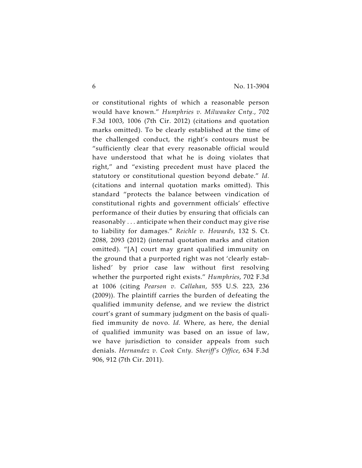or constitutional rights of which a reasonable person would have known." *Humphries v. Milwaukee Cnty.*, 702 F.3d 1003, 1006 (7th Cir. 2012) (citations and quotation marks omitted). To be clearly established at the time of the challenged conduct, the right's contours must be "sufficiently clear that every reasonable official would have understood that what he is doing violates that right," and "existing precedent must have placed the statutory or constitutional question beyond debate." *Id.* (citations and internal quotation marks omitted). This standard "protects the balance between vindication of constitutional rights and government officials' effective performance of their duties by ensuring that officials can reasonably . . . anticipate when their conduct may give rise to liability for damages." *Reichle v. Howards*, 132 S. Ct. 2088, 2093 (2012) (internal quotation marks and citation omitted). "[A] court may grant qualified immunity on the ground that a purported right was not 'clearly established' by prior case law without first resolving whether the purported right exists." *Humphries*, 702 F.3d at 1006 (citing *Pearson v. Callahan*, 555 U.S. 223, 236 (2009)). The plaintiff carries the burden of defeating the qualified immunity defense, and we review the district court's grant of summary judgment on the basis of qualified immunity de novo. *Id.* Where, as here, the denial of qualified immunity was based on an issue of law, we have jurisdiction to consider appeals from such denials. *Hernandez v. Cook Cnty. Sheriff's Office*, 634 F.3d 906, 912 (7th Cir. 2011).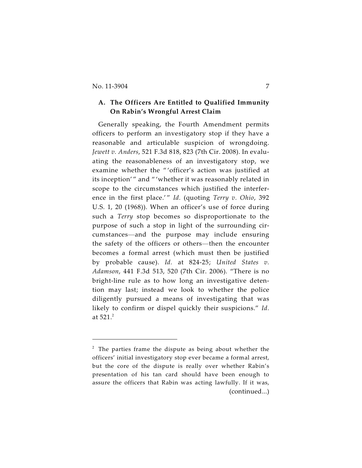## **A. The Officers Are Entitled to Qualified Immunity On Rabin's Wrongful Arrest Claim**

Generally speaking, the Fourth Amendment permits officers to perform an investigatory stop if they have a reasonable and articulable suspicion of wrongdoing. *Jewett v. Anders*, 521 F.3d 818, 823 (7th Cir. 2008). In evaluating the reasonableness of an investigatory stop, we examine whether the " 'officer's action was justified at its inception'" and "'whether it was reasonably related in scope to the circumstances which justified the interference in the first place.'" *Id.* (quoting *Terry v. Ohio*, 392 U.S. 1, 20 (1968)). When an officer's use of force during such a *Terry* stop becomes so disproportionate to the purpose of such a stop in light of the surrounding circumstances—and the purpose may include ensuring the safety of the officers or others—then the encounter becomes a formal arrest (which must then be justified by probable cause). *Id.* at 824-25; *United States v. Adamson*, 441 F.3d 513, 520 (7th Cir. 2006). "There is no bright-line rule as to how long an investigative detention may last; instead we look to whether the police diligently pursued a means of investigating that was likely to confirm or dispel quickly their suspicions." *Id.* at  $521.<sup>2</sup>$ 

 $2$  The parties frame the dispute as being about whether the officers' initial investigatory stop ever became a formal arrest, but the core of the dispute is really over whether Rabin's presentation of his tan card should have been enough to assure the officers that Rabin was acting lawfully. If it was, (continued...)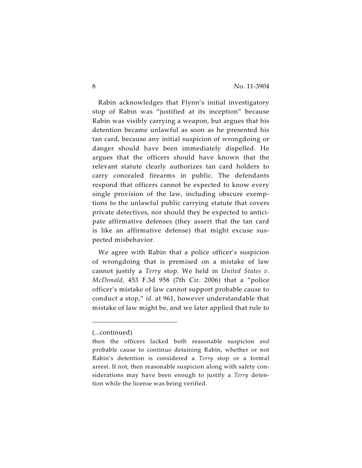Rabin acknowledges that Flynn's initial investigatory stop of Rabin was "justified at its inception" because Rabin was visibly carrying a weapon, but argues that his detention became unlawful as soon as he presented his tan card, because any initial suspicion of wrongdoing or danger should have been immediately dispelled. He argues that the officers should have known that the relevant statute clearly authorizes tan card holders to carry concealed firearms in public. The defendants respond that officers cannot be expected to know every single provision of the law, including obscure exemptions to the unlawful public carrying statute that covers private detectives, nor should they be expected to anticipate affirmative defenses (they assert that the tan card is like an affirmative defense) that might excuse suspected misbehavior.

We agree with Rabin that a police officer's suspicion of wrongdoing that is premised on a mistake of law cannot justify a *Terry* stop. We held in *United States v. McDonald*, 453 F.3d 958 (7th Cir. 2006) that a "police officer's mistake of law cannot support probable cause to conduct a stop," *id.* at 961, however understandable that mistake of law might be, and we later applied that rule to

<sup>(...</sup>continued)

then the officers lacked both reasonable suspicion *and* probable cause to continue detaining Rabin, whether or not Rabin's detention is considered a *Terry* stop or a formal arrest. If not, then reasonable suspicion along with safety considerations may have been enough to justify a *Terry* detention while the license was being verified.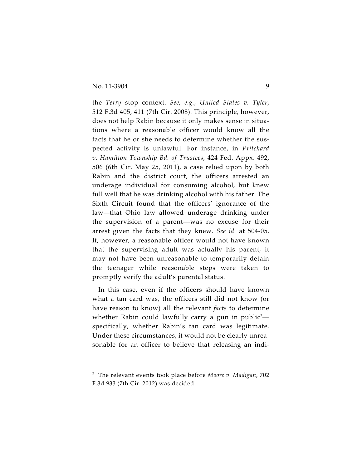the *Terry* stop context. *See, e.g.*, *United States v. Tyler*, 512 F.3d 405, 411 (7th Cir. 2008). This principle, however, does not help Rabin because it only makes sense in situations where a reasonable officer would know all the facts that he or she needs to determine whether the suspected activity is unlawful. For instance, in *Pritchard v. Hamilton Township Bd. of Trustees*, 424 Fed. Appx. 492, 506 (6th Cir. May 25, 2011), a case relied upon by both Rabin and the district court, the officers arrested an underage individual for consuming alcohol, but knew full well that he was drinking alcohol with his father. The Sixth Circuit found that the officers' ignorance of the law*—*that Ohio law allowed underage drinking under the supervision of a parent—was no excuse for their arrest given the facts that they knew. *See id.* at 504-05. If, however, a reasonable officer would not have known that the supervising adult was actually his parent, it may not have been unreasonable to temporarily detain the teenager while reasonable steps were taken to promptly verify the adult's parental status.

In this case, even if the officers should have known what a tan card was, the officers still did not know (or have reason to know) all the relevant *facts* to determine whether Rabin could lawfully carry a gun in public<sup>3</sup> specifically, whether Rabin's tan card was legitimate. Under these circumstances, it would not be clearly unreasonable for an officer to believe that releasing an indi-

<sup>&</sup>lt;sup>3</sup> The relevant events took place before *Moore v. Madigan*, 702 F.3d 933 (7th Cir. 2012) was decided.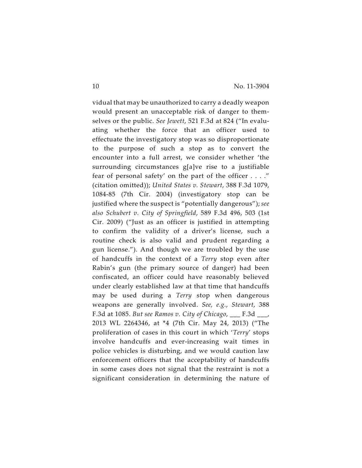vidual that may be unauthorized to carry a deadly weapon would present an unacceptable risk of danger to themselves or the public. *See Jewett*, 521 F.3d at 824 ("In evaluating whether the force that an officer used to effectuate the investigatory stop was so disproportionate to the purpose of such a stop as to convert the encounter into a full arrest, we consider whether 'the surrounding circumstances g[a]ve rise to a justifiable fear of personal safety' on the part of the officer . . . ." (citation omitted)); *United States v. Stewart*, 388 F.3d 1079, 1084-85 (7th Cir. 2004) (investigatory stop can be justified where the suspect is "potentially dangerous"); *see also Schubert v. City of Springfield*, 589 F.3d 496, 503 (1st Cir. 2009) ("Just as an officer is justified in attempting to confirm the validity of a driver's license, such a routine check is also valid and prudent regarding a gun license."). And though we are troubled by the use of handcuffs in the context of a *Terry* stop even after Rabin's gun (the primary source of danger) had been confiscated, an officer could have reasonably believed under clearly established law at that time that handcuffs may be used during a *Terry* stop when dangerous weapons are generally involved. *See, e.g.*, *Stewart*, 388 F.3d at 1085. *But see Ramos v. City of Chicago*, \_\_\_ F.3d \_\_\_, 2013 WL 2264346, at \*4 (7th Cir. May 24, 2013) ("The proliferation of cases in this court in which '*Terry*' stops involve handcuffs and ever-increasing wait times in police vehicles is disturbing, and we would caution law enforcement officers that the acceptability of handcuffs in some cases does not signal that the restraint is not a significant consideration in determining the nature of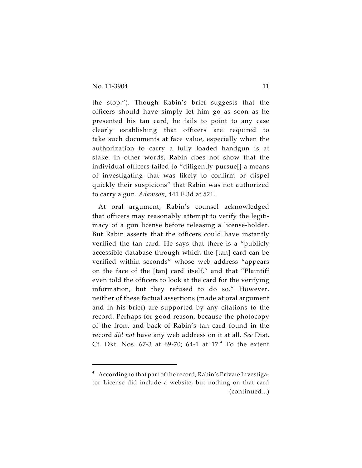the stop."). Though Rabin's brief suggests that the officers should have simply let him go as soon as he presented his tan card, he fails to point to any case clearly establishing that officers are required to take such documents at face value, especially when the authorization to carry a fully loaded handgun is at stake. In other words, Rabin does not show that the individual officers failed to "diligently pursue[] a means of investigating that was likely to confirm or dispel quickly their suspicions" that Rabin was not authorized to carry a gun. *Adamson*, 441 F.3d at 521.

At oral argument, Rabin's counsel acknowledged that officers may reasonably attempt to verify the legitimacy of a gun license before releasing a license-holder. But Rabin asserts that the officers could have instantly verified the tan card. He says that there is a "publicly accessible database through which the [tan] card can be verified within seconds" whose web address "appears on the face of the [tan] card itself," and that "Plaintiff even told the officers to look at the card for the verifying information, but they refused to do so." However, neither of these factual assertions (made at oral argument and in his brief) are supported by any citations to the record. Perhaps for good reason, because the photocopy of the front and back of Rabin's tan card found in the record *did not* have any web address on it at all. *See* Dist. Ct. Dkt. Nos.  $67-3$  at  $69-70$ ;  $64-1$  at  $17.^4$  To the extent

 $4$  According to that part of the record, Rabin's Private Investigator License did include a website, but nothing on that card (continued...)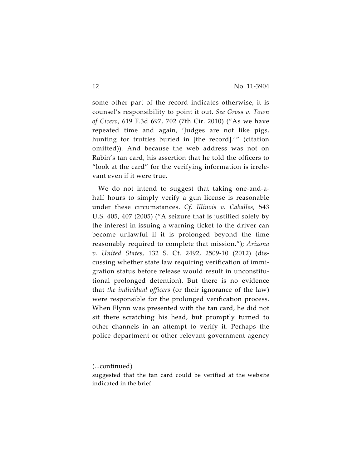some other part of the record indicates otherwise, it is counsel's responsibility to point it out. *See Gross v. Town of Cicero*, 619 F.3d 697, 702 (7th Cir. 2010) ("As we have repeated time and again, 'Judges are not like pigs, hunting for truffles buried in [the record].'" (citation omitted)). And because the web address was not on Rabin's tan card, his assertion that he told the officers to "look at the card" for the verifying information is irrelevant even if it were true.

We do not intend to suggest that taking one-and-ahalf hours to simply verify a gun license is reasonable under these circumstances. *Cf. Illinois v. Caballes*, 543 U.S. 405, 407 (2005) ("A seizure that is justified solely by the interest in issuing a warning ticket to the driver can become unlawful if it is prolonged beyond the time reasonably required to complete that mission."); *Arizona v. United States*, 132 S. Ct. 2492, 2509-10 (2012) (discussing whether state law requiring verification of immigration status before release would result in unconstitutional prolonged detention). But there is no evidence that *the individual officers* (or their ignorance of the law) were responsible for the prolonged verification process. When Flynn was presented with the tan card, he did not sit there scratching his head, but promptly turned to other channels in an attempt to verify it. Perhaps the police department or other relevant government agency

<sup>(...</sup>continued)

suggested that the tan card could be verified at the website indicated in the brief.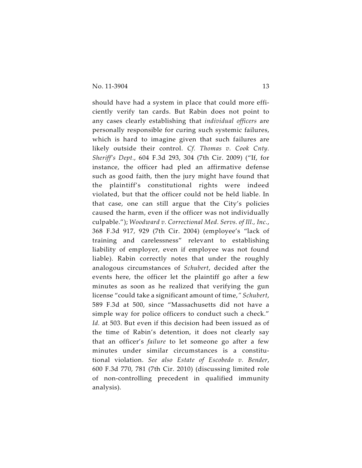should have had a system in place that could more efficiently verify tan cards. But Rabin does not point to any cases clearly establishing that *individual officers* are personally responsible for curing such systemic failures, which is hard to imagine given that such failures are likely outside their control. *Cf. Thomas v. Cook Cnty. Sheriff's Dept.*, 604 F.3d 293, 304 (7th Cir. 2009) ("If, for instance, the officer had pled an affirmative defense such as good faith, then the jury might have found that the plaintiff's constitutional rights were indeed violated, but that the officer could not be held liable. In that case, one can still argue that the City's policies caused the harm, even if the officer was not individually culpable."); *Woodward v. Correctional Med. Servs. of Ill., Inc.*, 368 F.3d 917, 929 (7th Cir. 2004) (employee's "lack of training and carelessness" relevant to establishing liability of employer, even if employee was not found liable). Rabin correctly notes that under the roughly analogous circumstances of *Schubert*, decided after the events here, the officer let the plaintiff go after a few minutes as soon as he realized that verifying the gun license "could take a significant amount of time,*" Schubert*, 589 F.3d at 500, since "Massachusetts did not have a simple way for police officers to conduct such a check." *Id.* at 503. But even if this decision had been issued as of the time of Rabin's detention, it does not clearly say that an officer's *failure* to let someone go after a few minutes under similar circumstances is a constitutional violation. *See also Estate of Escobedo v. Bender*, 600 F.3d 770, 781 (7th Cir. 2010) (discussing limited role of non-controlling precedent in qualified immunity analysis).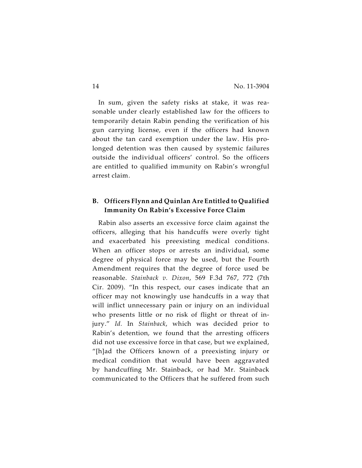In sum, given the safety risks at stake, it was reasonable under clearly established law for the officers to temporarily detain Rabin pending the verification of his gun carrying license, even if the officers had known about the tan card exemption under the law. His prolonged detention was then caused by systemic failures outside the individual officers' control. So the officers are entitled to qualified immunity on Rabin's wrongful arrest claim.

## **B. Officers Flynn and Quinlan Are Entitled to Qualified Immunity On Rabin's Excessive Force Claim**

Rabin also asserts an excessive force claim against the officers, alleging that his handcuffs were overly tight and exacerbated his preexisting medical conditions. When an officer stops or arrests an individual, some degree of physical force may be used, but the Fourth Amendment requires that the degree of force used be reasonable. *Stainback v. Dixon*, 569 F.3d 767, 772 (7th Cir. 2009). "In this respect, our cases indicate that an officer may not knowingly use handcuffs in a way that will inflict unnecessary pain or injury on an individual who presents little or no risk of flight or threat of injury." *Id.* In *Stainback*, which was decided prior to Rabin's detention, we found that the arresting officers did not use excessive force in that case, but we explained, "[h]ad the Officers known of a preexisting injury or medical condition that would have been aggravated by handcuffing Mr. Stainback, or had Mr. Stainback communicated to the Officers that he suffered from such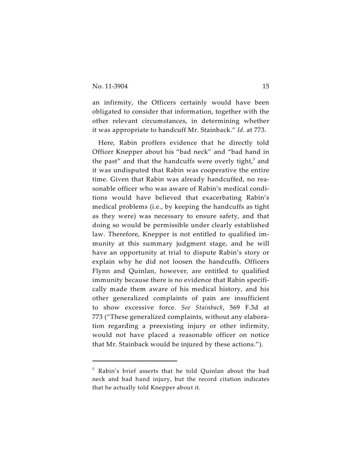an infirmity, the Officers certainly would have been obligated to consider that information, together with the other relevant circumstances, in determining whether it was appropriate to handcuff Mr. Stainback." *Id.* at 773.

Here, Rabin proffers evidence that he directly told Officer Knepper about his "bad neck" and "bad hand in the past" and that the handcuffs were overly tight, $5$  and it was undisputed that Rabin was cooperative the entire time. Given that Rabin was already handcuffed, no reasonable officer who was aware of Rabin's medical conditions would have believed that exacerbating Rabin's medical problems (i.e., by keeping the handcuffs as tight as they were) was necessary to ensure safety, and that doing so would be permissible under clearly established law. Therefore, Knepper is not entitled to qualified immunity at this summary judgment stage, and he will have an opportunity at trial to dispute Rabin's story or explain why he did not loosen the handcuffs. Officers Flynn and Quinlan, however, are entitled to qualified immunity because there is no evidence that Rabin specifically made them aware of his medical history, and his other generalized complaints of pain are insufficient to show excessive force. *See Stainback*, 569 F.3d at 773 ("These generalized complaints, without any elaboration regarding a preexisting injury or other infirmity, would not have placed a reasonable officer on notice that Mr. Stainback would be injured by these actions.").

 $5$  Rabin's brief asserts that he told Ouinlan about the bad neck and bad hand injury, but the record citation indicates that he actually told Knepper about it.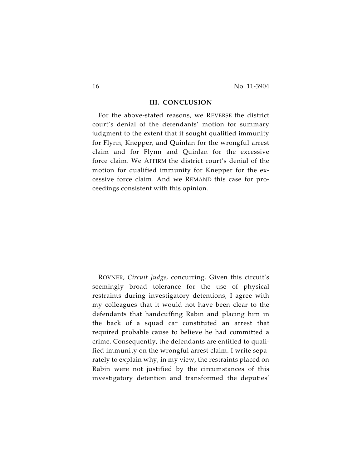#### **III. CONCLUSION**

For the above-stated reasons, we REVERSE the district court's denial of the defendants' motion for summary judgment to the extent that it sought qualified immunity for Flynn, Knepper, and Quinlan for the wrongful arrest claim and for Flynn and Quinlan for the excessive force claim. We AFFIRM the district court's denial of the motion for qualified immunity for Knepper for the excessive force claim. And we REMAND this case for proceedings consistent with this opinion.

ROVNER, *Circuit Judge*, concurring. Given this circuit's seemingly broad tolerance for the use of physical restraints during investigatory detentions, I agree with my colleagues that it would not have been clear to the defendants that handcuffing Rabin and placing him in the back of a squad car constituted an arrest that required probable cause to believe he had committed a crime. Consequently, the defendants are entitled to qualified immunity on the wrongful arrest claim. I write separately to explain why, in my view, the restraints placed on Rabin were not justified by the circumstances of this investigatory detention and transformed the deputies'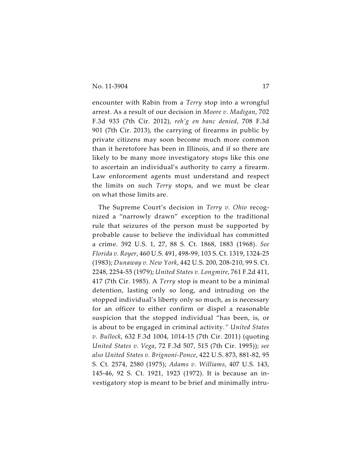encounter with Rabin from a *Terry* stop into a wrongful arrest. As a result of our decision in *Moore v. Madigan*, 702 F.3d 933 (7th Cir. 2012), *reh'g en banc denied*, 708 F.3d 901 (7th Cir. 2013), the carrying of firearms in public by private citizens may soon become much more common than it heretofore has been in Illinois, and if so there are likely to be many more investigatory stops like this one to ascertain an individual's authority to carry a firearm. Law enforcement agents must understand and respect the limits on such *Terry* stops, and we must be clear on what those limits are.

The Supreme Court's decision in *Terry v. Ohio* recognized a "narrowly drawn" exception to the traditional rule that seizures of the person must be supported by probable cause to believe the individual has committed a crime. 392 U.S. 1, 27, 88 S. Ct. 1868, 1883 (1968). *See Florida v. Royer*, 460 U.S. 491, 498-99, 103 S. Ct. 1319, 1324-25 (1983); *Dunaway v. New York*, 442 U.S. 200, 208-210, 99 S. Ct. 2248, 2254-55 (1979); *United States v. Longmire*, 761 F.2d 411, 417 (7th Cir. 1985). A *Terry* stop is meant to be a minimal detention, lasting only so long, and intruding on the stopped individual's liberty only so much, as is necessary for an officer to either confirm or dispel a reasonable suspicion that the stopped individual "has been, is, or is about to be engaged in criminal activity*." United States v. Bullock*, 632 F.3d 1004, 1014-15 (7th Cir. 2011) (quoting *United States v. Vega*, 72 F.3d 507, 515 (7th Cir. 1995)); *see also United States v. Brignoni-Ponce*, 422 U.S. 873, 881-82, 95 S. Ct. 2574, 2580 (1975); *Adams v. Williams*, 407 U.S. 143, 145-46, 92 S. Ct. 1921, 1923 (1972). It is because an investigatory stop is meant to be brief and minimally intru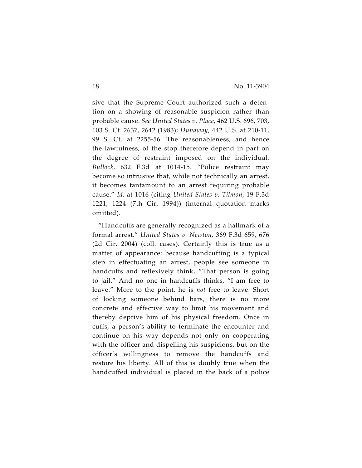sive that the Supreme Court authorized such a detention on a showing of reasonable suspicion rather than probable cause. *See United States v. Place*, 462 U.S. 696, 703, 103 S. Ct. 2637, 2642 (1983); *Dunaway*, 442 U.S. at 210-11, 99 S. Ct. at 2255-56. The reasonableness, and hence the lawfulness, of the stop therefore depend in part on the degree of restraint imposed on the individual. *Bullock*, 632 F.3d at 1014-15. "Police restraint may become so intrusive that, while not technically an arrest, it becomes tantamount to an arrest requiring probable cause." *Id.* at 1016 (citing *United States v. Tilmon*, 19 F.3d 1221, 1224 (7th Cir. 1994)) (internal quotation marks omitted).

"Handcuffs are generally recognized as a hallmark of a formal arrest." *United States v. Newton*, 369 F.3d 659, 676 (2d Cir. 2004) (coll. cases). Certainly this is true as a matter of appearance: because handcuffing is a typical step in effectuating an arrest, people see someone in handcuffs and reflexively think, "That person is going to jail." And no one in handcuffs thinks, "I am free to leave." More to the point, he is *not* free to leave. Short of locking someone behind bars, there is no more concrete and effective way to limit his movement and thereby deprive him of his physical freedom. Once in cuffs, a person's ability to terminate the encounter and continue on his way depends not only on cooperating with the officer and dispelling his suspicions, but on the officer's willingness to remove the handcuffs and restore his liberty. All of this is doubly true when the handcuffed individual is placed in the back of a police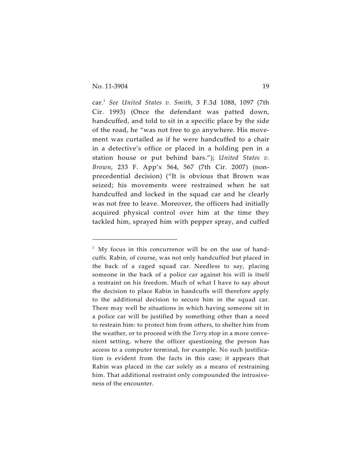car.<sup>1</sup> See United States v. Smith, 3 F.3d 1088, 1097 (7th Cir. 1993) (Once the defendant was patted down, handcuffed, and told to sit in a specific place by the side of the road, he "was not free to go anywhere. His movement was curtailed as if he were handcuffed to a chair in a detective's office or placed in a holding pen in a station house or put behind bars."); *United States v. Brown*, 233 F. App'x 564, 567 (7th Cir. 2007) (nonprecedential decision) ("It is obvious that Brown was seized; his movements were restrained when he sat handcuffed and locked in the squad car and he clearly was not free to leave. Moreover, the officers had initially acquired physical control over him at the time they tackled him, sprayed him with pepper spray, and cuffed

 $1$  My focus in this concurrence will be on the use of handcuffs. Rabin, of course, was not only handcuffed but placed in the back of a caged squad car. Needless to say, placing someone in the back of a police car against his will is itself a restraint on his freedom. Much of what I have to say about the decision to place Rabin in handcuffs will therefore apply to the additional decision to secure him in the squad car. There may well be situations in which having someone sit in a police car will be justified by something other than a need to restrain him: to protect him from others, to shelter him from the weather, or to proceed with the *Terry* stop in a more convenient setting, where the officer questioning the person has access to a computer terminal, for example. No such justification is evident from the facts in this case; it appears that Rabin was placed in the car solely as a means of restraining him. That additional restraint only compounded the intrusiveness of the encounter.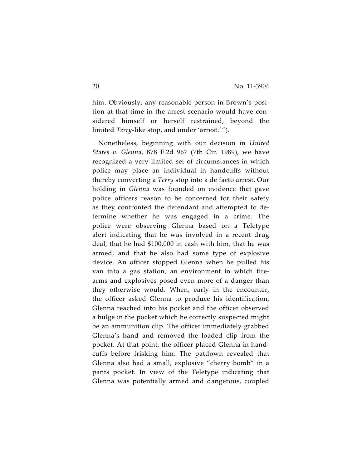him. Obviously, any reasonable person in Brown's position at that time in the arrest scenario would have considered himself or herself restrained, beyond the limited *Terry*-like stop, and under 'arrest.' ").

Nonetheless, beginning with our decision in *United States v. Glenna*, 878 F.2d 967 (7th Cir. 1989), we have recognized a very limited set of circumstances in which police may place an individual in handcuffs without thereby converting a *Terry* stop into a de facto arrest. Our holding in *Glenna* was founded on evidence that gave police officers reason to be concerned for their safety as they confronted the defendant and attempted to determine whether he was engaged in a crime. The police were observing Glenna based on a Teletype alert indicating that he was involved in a recent drug deal, that he had \$100,000 in cash with him, that he was armed, and that he also had some type of explosive device. An officer stopped Glenna when he pulled his van into a gas station, an environment in which firearms and explosives posed even more of a danger than they otherwise would. When, early in the encounter, the officer asked Glenna to produce his identification, Glenna reached into his pocket and the officer observed a bulge in the pocket which he correctly suspected might be an ammunition clip. The officer immediately grabbed Glenna's hand and removed the loaded clip from the pocket. At that point, the officer placed Glenna in handcuffs before frisking him. The patdown revealed that Glenna also had a small, explosive "cherry bomb" in a pants pocket. In view of the Teletype indicating that Glenna was potentially armed and dangerous, coupled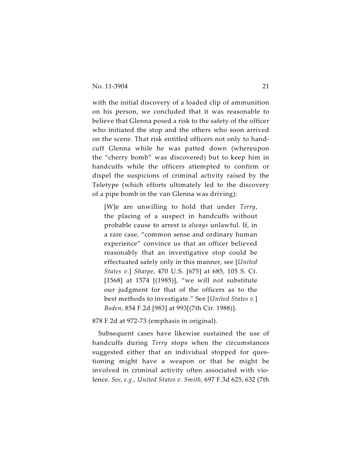with the initial discovery of a loaded clip of ammunition on his person, we concluded that it was reasonable to believe that Glenna posed a risk to the safety of the officer who initiated the stop and the others who soon arrived on the scene. That risk entitled officers not only to handcuff Glenna while he was patted down (whereupon the "cherry bomb" was discovered) but to keep him in handcuffs while the officers attempted to confirm or dispel the suspicions of criminal activity raised by the Teletype (which efforts ultimately led to the discovery of a pipe bomb in the van Glenna was driving):

[W]e are unwilling to hold that under *Terry*, the placing of a suspect in handcuffs without probable cause to arrest is *always* unlawful. If, in a rare case, "common sense and ordinary human experience" convince us that an officer believed reasonably that an investigative stop could be effectuated safely only in this manner, see [*United States v.*] *Sharpe*, 470 U.S. [675] at 685, 105 S. Ct. [1568] at 1574 [(1985)], "we will not substitute our judgment for that of the officers as to the best methods to investigate." See [*United States v.*] *Boden*, 854 F.2d [983] at 993[(7th Cir. 1988)].

878 F.2d at 972-73 (emphasis in original).

Subsequent cases have likewise sustained the use of handcuffs during *Terry* stops when the circumstances suggested either that an individual stopped for questioning might have a weapon or that he might be involved in criminal activity often associated with violence. *See*, *e.g.*, *United States v. Smith*, 697 F.3d 625, 632 (7th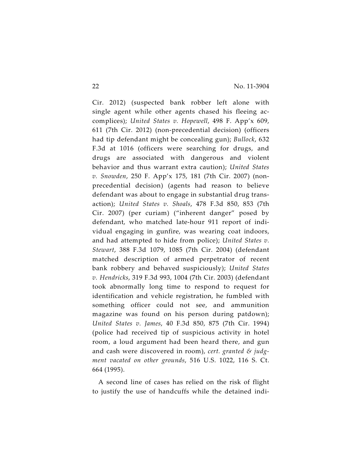Cir. 2012) (suspected bank robber left alone with single agent while other agents chased his fleeing accomplices); *United States v. Hopewell*, 498 F. App'x 609, 611 (7th Cir. 2012) (non-precedential decision) (officers had tip defendant might be concealing gun); *Bullock*, 632 F.3d at 1016 (officers were searching for drugs, and drugs are associated with dangerous and violent behavior and thus warrant extra caution); *United States v. Snowden*, 250 F. App'x 175, 181 (7th Cir. 2007) (nonprecedential decision) (agents had reason to believe defendant was about to engage in substantial drug transaction); *United States v. Shoals*, 478 F.3d 850, 853 (7th Cir. 2007) (per curiam) ("inherent danger" posed by defendant, who matched late-hour 911 report of individual engaging in gunfire, was wearing coat indoors, and had attempted to hide from police); *United States v. Stewart*, 388 F.3d 1079, 1085 (7th Cir. 2004) (defendant matched description of armed perpetrator of recent bank robbery and behaved suspiciously); *United States v. Hendricks*, 319 F.3d 993, 1004 (7th Cir. 2003) (defendant took abnormally long time to respond to request for identification and vehicle registration, he fumbled with something officer could not see, and ammunition magazine was found on his person during patdown); *United States v. James*, 40 F.3d 850, 875 (7th Cir. 1994) (police had received tip of suspicious activity in hotel room, a loud argument had been heard there, and gun and cash were discovered in room), *cert. granted & judgment vacated on other grounds*, 516 U.S. 1022, 116 S. Ct. 664 (1995).

A second line of cases has relied on the risk of flight to justify the use of handcuffs while the detained indi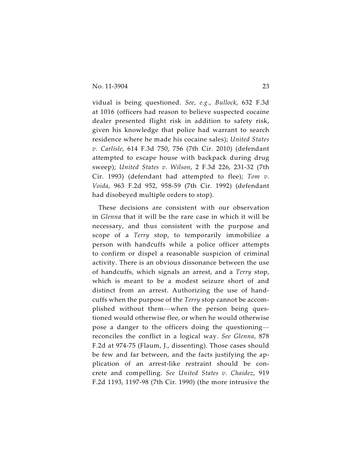vidual is being questioned. *See*, *e.g.*, *Bullock*, 632 F.3d at 1016 (officers had reason to believe suspected cocaine dealer presented flight risk in addition to safety risk, given his knowledge that police had warrant to search residence where he made his cocaine sales); *United States v. Carlisle*, 614 F.3d 750, 756 (7th Cir. 2010) (defendant attempted to escape house with backpack during drug sweep); *United States v. Wilson*, 2 F.3d 226, 231-32 (7th Cir. 1993) (defendant had attempted to flee); *Tom v. Voida*, 963 F.2d 952, 958-59 (7th Cir. 1992) (defendant had disobeyed multiple orders to stop).

These decisions are consistent with our observation in *Glenna* that it will be the rare case in which it will be necessary, and thus consistent with the purpose and scope of a *Terry* stop, to temporarily immobilize a person with handcuffs while a police officer attempts to confirm or dispel a reasonable suspicion of criminal activity. There is an obvious dissonance between the use of handcuffs, which signals an arrest, and a *Terry* stop, which is meant to be a modest seizure short of and distinct from an arrest. Authorizing the use of handcuffs when the purpose of the *Terry* stop cannot be accomplished without them—when the person being questioned would otherwise flee, or when he would otherwise pose a danger to the officers doing the questioning reconciles the conflict in a logical way. *See Glenna*, 878 F.2d at 974-75 (Flaum, J., dissenting). Those cases should be few and far between, and the facts justifying the application of an arrest-like restraint should be concrete and compelling. *See United States v. Chaidez*, 919 F.2d 1193, 1197-98 (7th Cir. 1990) (the more intrusive the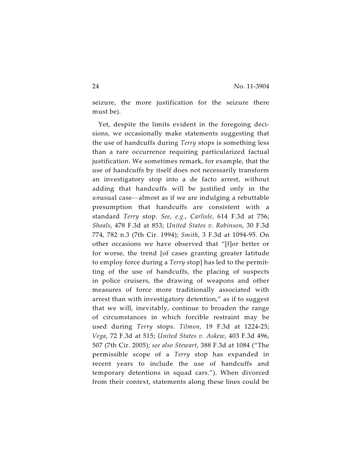seizure, the more justification for the seizure there must be).

Yet, despite the limits evident in the foregoing decisions, we occasionally make statements suggesting that the use of handcuffs during *Terry* stops is something less than a rare occurrence requiring particularized factual justification. We sometimes remark, for example, that the use of handcuffs by itself does not necessarily transform an investigatory stop into a de facto arrest, without adding that handcuffs will be justified only in the *un*usual case—almost as if we are indulging a rebuttable presumption that handcuffs are consistent with a standard *Terry* stop. *See*, *e.g.*, *Carlisle*, 614 F.3d at 756; *Shoals*, 478 F.3d at 853; *United States v. Robinson*, 30 F.3d 774, 782 n.3 (7th Cir. 1994); *Smith*, 3 F.3d at 1094-95. On other occasions we have observed that "[f]or better or for worse, the trend [of cases granting greater latitude to employ force during a *Terry* stop] has led to the permitting of the use of handcuffs, the placing of suspects in police cruisers, the drawing of weapons and other measures of force more traditionally associated with arrest than with investigatory detention," as if to suggest that we will, inevitably, continue to broaden the range of circumstances in which forcible restraint may be used during *Terry* stops. *Tilmon*, 19 F.3d at 1224-25; *Vega*, 72 F.3d at 515; *United States v. Askew*, 403 F.3d 496, 507 (7th Cir. 2005); *see also Stewart*, 388 F.3d at 1084 ("The permissible scope of a *Terry* stop has expanded in recent years to include the use of handcuffs and temporary detentions in squad cars."). When divorced from their context, statements along these lines could be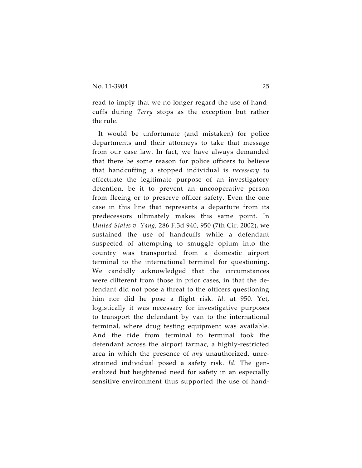read to imply that we no longer regard the use of handcuffs during *Terry* stops as the exception but rather the rule.

It would be unfortunate (and mistaken) for police departments and their attorneys to take that message from our case law. In fact, we have always demanded that there be some reason for police officers to believe that handcuffing a stopped individual is *necessary* to effectuate the legitimate purpose of an investigatory detention, be it to prevent an uncooperative person from fleeing or to preserve officer safety. Even the one case in this line that represents a departure from its predecessors ultimately makes this same point. In *United States v. Yang*, 286 F.3d 940, 950 (7th Cir. 2002), we sustained the use of handcuffs while a defendant suspected of attempting to smuggle opium into the country was transported from a domestic airport terminal to the international terminal for questioning. We candidly acknowledged that the circumstances were different from those in prior cases, in that the defendant did not pose a threat to the officers questioning him nor did he pose a flight risk. *Id.* at 950. Yet, logistically it was necessary for investigative purposes to transport the defendant by van to the international terminal, where drug testing equipment was available. And the ride from terminal to terminal took the defendant across the airport tarmac, a highly-restricted area in which the presence of *any* unauthorized, unrestrained individual posed a safety risk. *Id.* The generalized but heightened need for safety in an especially sensitive environment thus supported the use of hand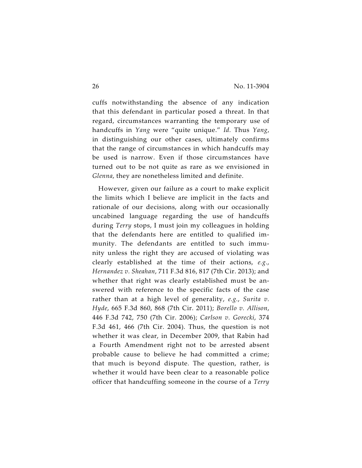cuffs notwithstanding the absence of any indication that this defendant in particular posed a threat. In that regard, circumstances warranting the temporary use of handcuffs in *Yang* were "quite unique." *Id.* Thus *Yang*, in distinguishing our other cases, ultimately confirms that the range of circumstances in which handcuffs may be used is narrow. Even if those circumstances have turned out to be not quite as rare as we envisioned in *Glenna*, they are nonetheless limited and definite.

However, given our failure as a court to make explicit the limits which I believe are implicit in the facts and rationale of our decisions, along with our occasionally uncabined language regarding the use of handcuffs during *Terry* stops, I must join my colleagues in holding that the defendants here are entitled to qualified immunity. The defendants are entitled to such immunity unless the right they are accused of violating was clearly established at the time of their actions, *e.g.*, *Hernandez v. Sheahan*, 711 F.3d 816, 817 (7th Cir. 2013); and whether that right was clearly established must be answered with reference to the specific facts of the case rather than at a high level of generality, *e.g.*, *Surita v. Hyde*, 665 F.3d 860, 868 (7th Cir. 2011); *Borello v. Allison*, 446 F.3d 742, 750 (7th Cir. 2006); *Carlson v. Gorecki*, 374 F.3d 461, 466 (7th Cir. 2004). Thus, the question is not whether it was clear, in December 2009, that Rabin had a Fourth Amendment right not to be arrested absent probable cause to believe he had committed a crime; that much is beyond dispute. The question, rather, is whether it would have been clear to a reasonable police officer that handcuffing someone in the course of a *Terry*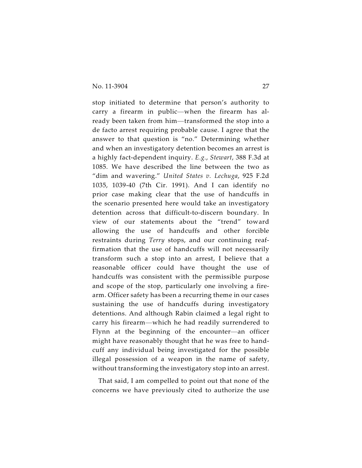stop initiated to determine that person's authority to carry a firearm in public—when the firearm has already been taken from him—transformed the stop into a de facto arrest requiring probable cause. I agree that the answer to that question is "no." Determining whether and when an investigatory detention becomes an arrest is a highly fact-dependent inquiry. *E.g.*, *Stewart*, 388 F.3d at 1085. We have described the line between the two as "dim and wavering." *United States v. Lechuga*, 925 F.2d 1035, 1039-40 (7th Cir. 1991). And I can identify no prior case making clear that the use of handcuffs in the scenario presented here would take an investigatory detention across that difficult-to-discern boundary. In view of our statements about the "trend" toward allowing the use of handcuffs and other forcible restraints during *Terry* stops, and our continuing reaffirmation that the use of handcuffs will not necessarily transform such a stop into an arrest, I believe that a reasonable officer could have thought the use of handcuffs was consistent with the permissible purpose and scope of the stop, particularly one involving a firearm. Officer safety has been a recurring theme in our cases sustaining the use of handcuffs during investigatory detentions. And although Rabin claimed a legal right to carry his firearm—which he had readily surrendered to Flynn at the beginning of the encounter—an officer might have reasonably thought that he was free to handcuff any individual being investigated for the possible illegal possession of a weapon in the name of safety, without transforming the investigatory stop into an arrest.

That said, I am compelled to point out that none of the concerns we have previously cited to authorize the use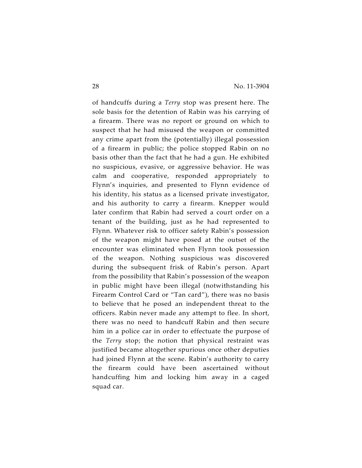of handcuffs during a *Terry* stop was present here. The sole basis for the detention of Rabin was his carrying of a firearm. There was no report or ground on which to suspect that he had misused the weapon or committed any crime apart from the (potentially) illegal possession of a firearm in public; the police stopped Rabin on no basis other than the fact that he had a gun. He exhibited no suspicious, evasive, or aggressive behavior. He was calm and cooperative, responded appropriately to Flynn's inquiries, and presented to Flynn evidence of his identity, his status as a licensed private investigator, and his authority to carry a firearm. Knepper would later confirm that Rabin had served a court order on a tenant of the building, just as he had represented to Flynn. Whatever risk to officer safety Rabin's possession of the weapon might have posed at the outset of the encounter was eliminated when Flynn took possession of the weapon. Nothing suspicious was discovered during the subsequent frisk of Rabin's person. Apart from the possibility that Rabin's possession of the weapon in public might have been illegal (notwithstanding his Firearm Control Card or "Tan card"), there was no basis to believe that he posed an independent threat to the officers. Rabin never made any attempt to flee. In short, there was no need to handcuff Rabin and then secure him in a police car in order to effectuate the purpose of the *Terry* stop; the notion that physical restraint was justified became altogether spurious once other deputies had joined Flynn at the scene. Rabin's authority to carry the firearm could have been ascertained without handcuffing him and locking him away in a caged squad car.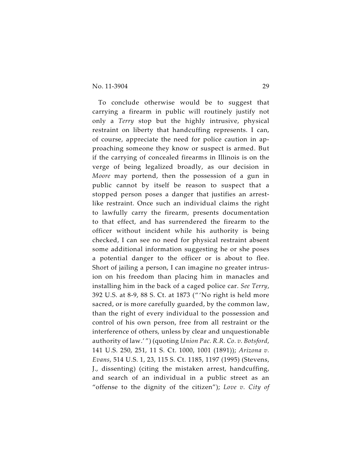#### No. 11-3904 29

To conclude otherwise would be to suggest that carrying a firearm in public will routinely justify not only a *Terry* stop but the highly intrusive, physical restraint on liberty that handcuffing represents. I can, of course, appreciate the need for police caution in approaching someone they know or suspect is armed. But if the carrying of concealed firearms in Illinois is on the verge of being legalized broadly, as our decision in *Moore* may portend, then the possession of a gun in public cannot by itself be reason to suspect that a stopped person poses a danger that justifies an arrestlike restraint. Once such an individual claims the right to lawfully carry the firearm, presents documentation to that effect, and has surrendered the firearm to the officer without incident while his authority is being checked, I can see no need for physical restraint absent some additional information suggesting he or she poses a potential danger to the officer or is about to flee. Short of jailing a person, I can imagine no greater intrusion on his freedom than placing him in manacles and installing him in the back of a caged police car. *See Terry*, 392 U.S. at 8-9, 88 S. Ct. at 1873 (" 'No right is held more sacred, or is more carefully guarded, by the common law, than the right of every individual to the possession and control of his own person, free from all restraint or the interference of others, unless by clear and unquestionable authority of law.' ") (quoting *Union Pac. R.R. Co. v. Botsford*, 141 U.S. 250, 251, 11 S. Ct. 1000, 1001 (1891)); *Arizona v. Evans*, 514 U.S. 1, 23, 115 S. Ct. 1185, 1197 (1995) (Stevens, J., dissenting) (citing the mistaken arrest, handcuffing, and search of an individual in a public street as an "offense to the dignity of the citizen"); *Love v. City of*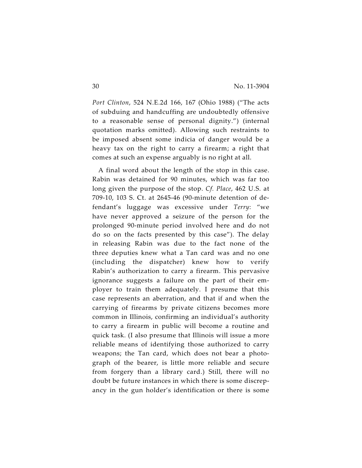*Port Clinton*, 524 N.E.2d 166, 167 (Ohio 1988) ("The acts of subduing and handcuffing are undoubtedly offensive to a reasonable sense of personal dignity.") (internal quotation marks omitted). Allowing such restraints to be imposed absent some indicia of danger would be a heavy tax on the right to carry a firearm; a right that comes at such an expense arguably is no right at all.

A final word about the length of the stop in this case. Rabin was detained for 90 minutes, which was far too long given the purpose of the stop. *Cf. Place*, 462 U.S. at 709-10, 103 S. Ct. at 2645-46 (90-minute detention of defendant's luggage was excessive under *Terry*: "we have never approved a seizure of the person for the prolonged 90-minute period involved here and do not do so on the facts presented by this case"). The delay in releasing Rabin was due to the fact none of the three deputies knew what a Tan card was and no one (including the dispatcher) knew how to verify Rabin's authorization to carry a firearm. This pervasive ignorance suggests a failure on the part of their employer to train them adequately. I presume that this case represents an aberration, and that if and when the carrying of firearms by private citizens becomes more common in Illinois, confirming an individual's authority to carry a firearm in public will become a routine and quick task. (I also presume that Illinois will issue a more reliable means of identifying those authorized to carry weapons; the Tan card, which does not bear a photograph of the bearer, is little more reliable and secure from forgery than a library card.) Still, there will no doubt be future instances in which there is some discrepancy in the gun holder's identification or there is some